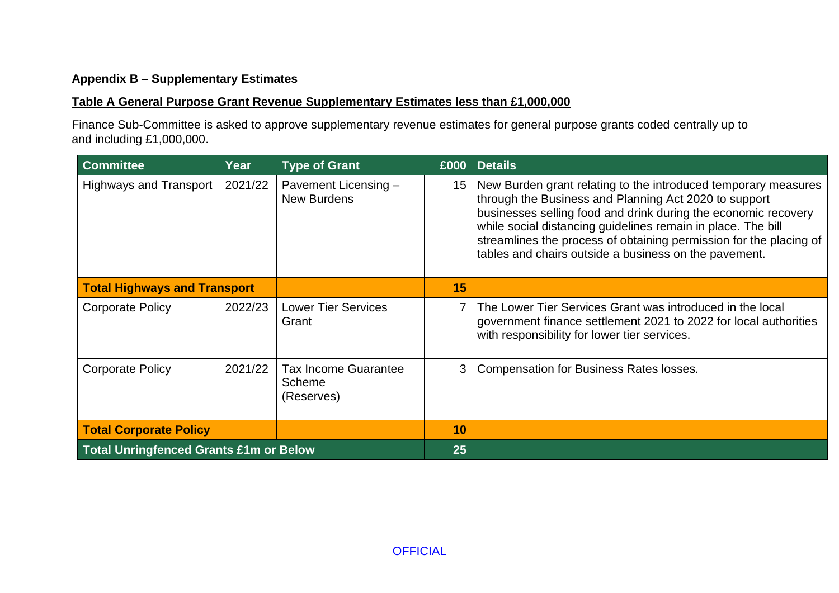### **Appendix B – Supplementary Estimates**

### **Table A General Purpose Grant Revenue Supplementary Estimates less than £1,000,000**

Finance Sub-Committee is asked to approve supplementary revenue estimates for general purpose grants coded centrally up to and including £1,000,000.

| <b>Committee</b>                              | Year    | <b>Type of Grant</b>                                | £000 | <b>Details</b>                                                                                                                                                                                                                                                                                                                                                                           |
|-----------------------------------------------|---------|-----------------------------------------------------|------|------------------------------------------------------------------------------------------------------------------------------------------------------------------------------------------------------------------------------------------------------------------------------------------------------------------------------------------------------------------------------------------|
| <b>Highways and Transport</b>                 | 2021/22 | Pavement Licensing -<br><b>New Burdens</b>          | 15   | New Burden grant relating to the introduced temporary measures<br>through the Business and Planning Act 2020 to support<br>businesses selling food and drink during the economic recovery<br>while social distancing guidelines remain in place. The bill<br>streamlines the process of obtaining permission for the placing of<br>tables and chairs outside a business on the pavement. |
| <b>Total Highways and Transport</b>           |         |                                                     | 15   |                                                                                                                                                                                                                                                                                                                                                                                          |
| <b>Corporate Policy</b>                       | 2022/23 | <b>Lower Tier Services</b><br>Grant                 | 7    | The Lower Tier Services Grant was introduced in the local<br>government finance settlement 2021 to 2022 for local authorities<br>with responsibility for lower tier services.                                                                                                                                                                                                            |
| <b>Corporate Policy</b>                       | 2021/22 | <b>Tax Income Guarantee</b><br>Scheme<br>(Reserves) | 3    | <b>Compensation for Business Rates losses.</b>                                                                                                                                                                                                                                                                                                                                           |
| <b>Total Corporate Policy</b>                 |         |                                                     | 10   |                                                                                                                                                                                                                                                                                                                                                                                          |
| <b>Total Unringfenced Grants £1m or Below</b> |         |                                                     | 25   |                                                                                                                                                                                                                                                                                                                                                                                          |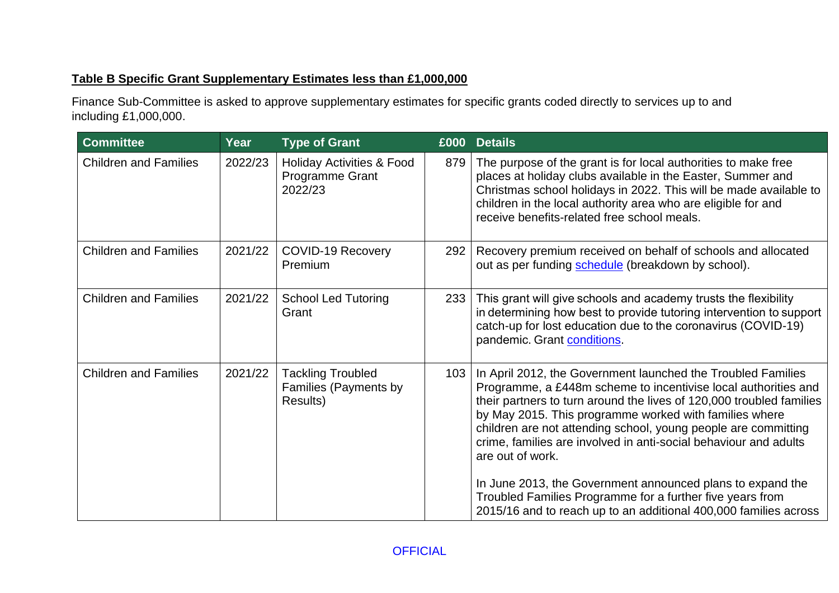# **Table B Specific Grant Supplementary Estimates less than £1,000,000**

Finance Sub-Committee is asked to approve supplementary estimates for specific grants coded directly to services up to and including £1,000,000.

| 2022/23 |                                                                    |     |                                                                                                                                                                                                                                                                                                                                                                                                                                                                                                                                                       |
|---------|--------------------------------------------------------------------|-----|-------------------------------------------------------------------------------------------------------------------------------------------------------------------------------------------------------------------------------------------------------------------------------------------------------------------------------------------------------------------------------------------------------------------------------------------------------------------------------------------------------------------------------------------------------|
|         | <b>Holiday Activities &amp; Food</b><br>Programme Grant<br>2022/23 | 879 | The purpose of the grant is for local authorities to make free<br>places at holiday clubs available in the Easter, Summer and<br>Christmas school holidays in 2022. This will be made available to<br>children in the local authority area who are eligible for and<br>receive benefits-related free school meals.                                                                                                                                                                                                                                    |
| 2021/22 | <b>COVID-19 Recovery</b><br>Premium                                | 292 | Recovery premium received on behalf of schools and allocated<br>out as per funding schedule (breakdown by school).                                                                                                                                                                                                                                                                                                                                                                                                                                    |
| 2021/22 | <b>School Led Tutoring</b><br>Grant                                |     | This grant will give schools and academy trusts the flexibility<br>in determining how best to provide tutoring intervention to support<br>catch-up for lost education due to the coronavirus (COVID-19)<br>pandemic. Grant conditions.                                                                                                                                                                                                                                                                                                                |
| 2021/22 | <b>Tackling Troubled</b><br>Families (Payments by<br>Results)      | 103 | In April 2012, the Government launched the Troubled Families<br>Programme, a £448m scheme to incentivise local authorities and<br>their partners to turn around the lives of 120,000 troubled families<br>by May 2015. This programme worked with families where<br>children are not attending school, young people are committing<br>crime, families are involved in anti-social behaviour and adults<br>are out of work.<br>In June 2013, the Government announced plans to expand the<br>Troubled Families Programme for a further five years from |
|         |                                                                    |     | 233                                                                                                                                                                                                                                                                                                                                                                                                                                                                                                                                                   |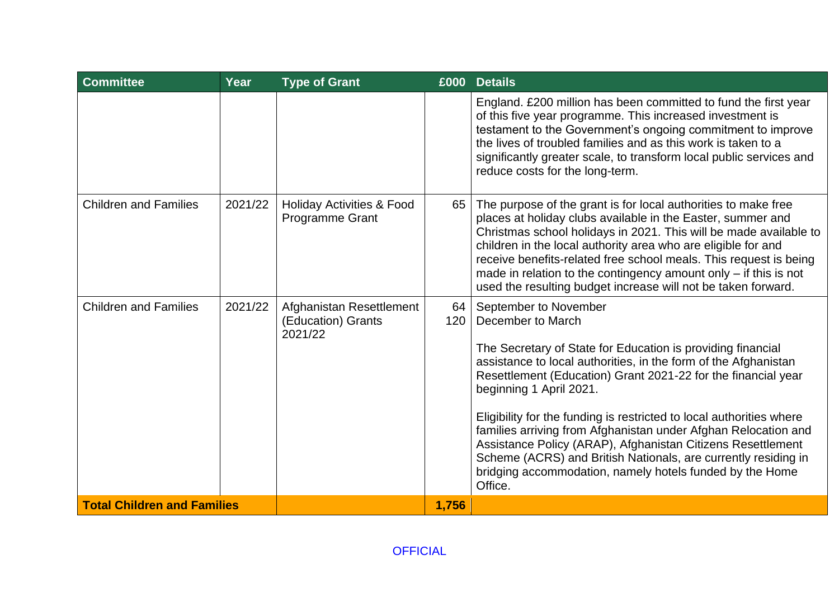| <b>Committee</b>                   | Year    | <b>Type of Grant</b>                                      |           | £000 Details                                                                                                                                                                                                                                                                                                                                                                                                                                                                                                                                                                                                               |
|------------------------------------|---------|-----------------------------------------------------------|-----------|----------------------------------------------------------------------------------------------------------------------------------------------------------------------------------------------------------------------------------------------------------------------------------------------------------------------------------------------------------------------------------------------------------------------------------------------------------------------------------------------------------------------------------------------------------------------------------------------------------------------------|
|                                    |         |                                                           |           | England. £200 million has been committed to fund the first year<br>of this five year programme. This increased investment is<br>testament to the Government's ongoing commitment to improve<br>the lives of troubled families and as this work is taken to a<br>significantly greater scale, to transform local public services and<br>reduce costs for the long-term.                                                                                                                                                                                                                                                     |
| <b>Children and Families</b>       | 2021/22 | <b>Holiday Activities &amp; Food</b><br>Programme Grant   | 65        | The purpose of the grant is for local authorities to make free<br>places at holiday clubs available in the Easter, summer and<br>Christmas school holidays in 2021. This will be made available to<br>children in the local authority area who are eligible for and<br>receive benefits-related free school meals. This request is being<br>made in relation to the contingency amount only $-$ if this is not<br>used the resulting budget increase will not be taken forward.                                                                                                                                            |
| <b>Children and Families</b>       | 2021/22 | Afghanistan Resettlement<br>(Education) Grants<br>2021/22 | 64<br>120 | September to November<br>December to March<br>The Secretary of State for Education is providing financial<br>assistance to local authorities, in the form of the Afghanistan<br>Resettlement (Education) Grant 2021-22 for the financial year<br>beginning 1 April 2021.<br>Eligibility for the funding is restricted to local authorities where<br>families arriving from Afghanistan under Afghan Relocation and<br>Assistance Policy (ARAP), Afghanistan Citizens Resettlement<br>Scheme (ACRS) and British Nationals, are currently residing in<br>bridging accommodation, namely hotels funded by the Home<br>Office. |
| <b>Total Children and Families</b> |         |                                                           | 1,756     |                                                                                                                                                                                                                                                                                                                                                                                                                                                                                                                                                                                                                            |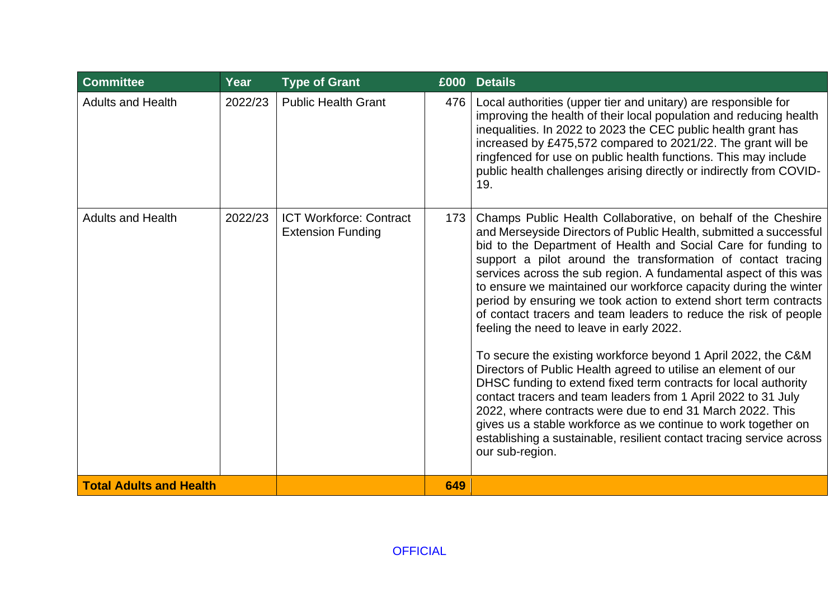| <b>Committee</b>               | Year    | <b>Type of Grant</b>                                       |     | £000 Details                                                                                                                                                                                                                                                                                                                                                                                                                                                                                                                                                                                                                                                                                                                                                                                                                                                                                                                                                                                                                                                                                      |
|--------------------------------|---------|------------------------------------------------------------|-----|---------------------------------------------------------------------------------------------------------------------------------------------------------------------------------------------------------------------------------------------------------------------------------------------------------------------------------------------------------------------------------------------------------------------------------------------------------------------------------------------------------------------------------------------------------------------------------------------------------------------------------------------------------------------------------------------------------------------------------------------------------------------------------------------------------------------------------------------------------------------------------------------------------------------------------------------------------------------------------------------------------------------------------------------------------------------------------------------------|
| <b>Adults and Health</b>       | 2022/23 | <b>Public Health Grant</b>                                 | 476 | Local authorities (upper tier and unitary) are responsible for<br>improving the health of their local population and reducing health<br>inequalities. In 2022 to 2023 the CEC public health grant has<br>increased by £475,572 compared to 2021/22. The grant will be<br>ringfenced for use on public health functions. This may include<br>public health challenges arising directly or indirectly from COVID-<br>19.                                                                                                                                                                                                                                                                                                                                                                                                                                                                                                                                                                                                                                                                            |
| <b>Adults and Health</b>       | 2022/23 | <b>ICT Workforce: Contract</b><br><b>Extension Funding</b> | 173 | Champs Public Health Collaborative, on behalf of the Cheshire<br>and Merseyside Directors of Public Health, submitted a successful<br>bid to the Department of Health and Social Care for funding to<br>support a pilot around the transformation of contact tracing<br>services across the sub region. A fundamental aspect of this was<br>to ensure we maintained our workforce capacity during the winter<br>period by ensuring we took action to extend short term contracts<br>of contact tracers and team leaders to reduce the risk of people<br>feeling the need to leave in early 2022.<br>To secure the existing workforce beyond 1 April 2022, the C&M<br>Directors of Public Health agreed to utilise an element of our<br>DHSC funding to extend fixed term contracts for local authority<br>contact tracers and team leaders from 1 April 2022 to 31 July<br>2022, where contracts were due to end 31 March 2022. This<br>gives us a stable workforce as we continue to work together on<br>establishing a sustainable, resilient contact tracing service across<br>our sub-region. |
| <b>Total Adults and Health</b> |         |                                                            | 649 |                                                                                                                                                                                                                                                                                                                                                                                                                                                                                                                                                                                                                                                                                                                                                                                                                                                                                                                                                                                                                                                                                                   |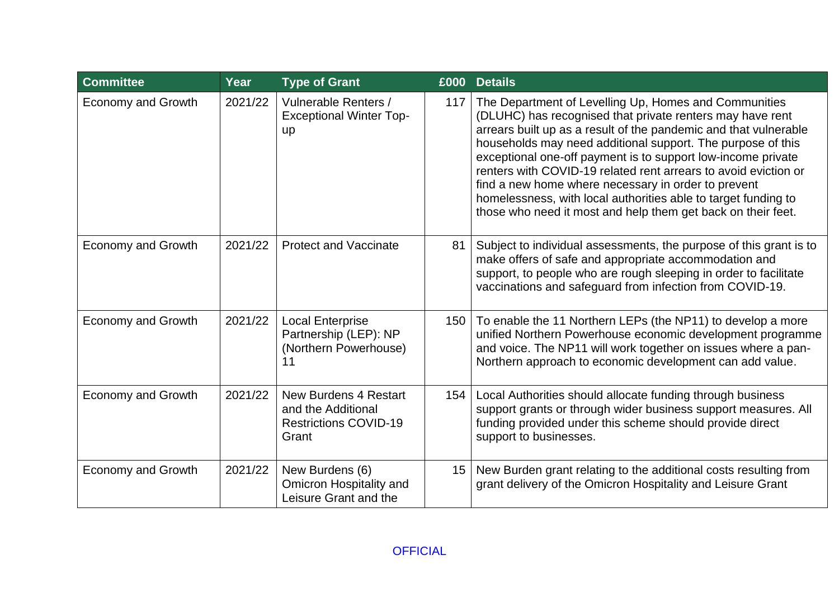| <b>Committee</b>          | Year    | <b>Type of Grant</b>                                                                        |     | £000 Details                                                                                                                                                                                                                                                                                                                                                                                                                                                                                                                                                                      |
|---------------------------|---------|---------------------------------------------------------------------------------------------|-----|-----------------------------------------------------------------------------------------------------------------------------------------------------------------------------------------------------------------------------------------------------------------------------------------------------------------------------------------------------------------------------------------------------------------------------------------------------------------------------------------------------------------------------------------------------------------------------------|
| <b>Economy and Growth</b> | 2021/22 | Vulnerable Renters /<br><b>Exceptional Winter Top-</b><br><b>up</b>                         | 117 | The Department of Levelling Up, Homes and Communities<br>(DLUHC) has recognised that private renters may have rent<br>arrears built up as a result of the pandemic and that vulnerable<br>households may need additional support. The purpose of this<br>exceptional one-off payment is to support low-income private<br>renters with COVID-19 related rent arrears to avoid eviction or<br>find a new home where necessary in order to prevent<br>homelessness, with local authorities able to target funding to<br>those who need it most and help them get back on their feet. |
| <b>Economy and Growth</b> | 2021/22 | <b>Protect and Vaccinate</b>                                                                | 81  | Subject to individual assessments, the purpose of this grant is to<br>make offers of safe and appropriate accommodation and<br>support, to people who are rough sleeping in order to facilitate<br>vaccinations and safeguard from infection from COVID-19.                                                                                                                                                                                                                                                                                                                       |
| Economy and Growth        | 2021/22 | <b>Local Enterprise</b><br>Partnership (LEP): NP<br>(Northern Powerhouse)<br>11             | 150 | To enable the 11 Northern LEPs (the NP11) to develop a more<br>unified Northern Powerhouse economic development programme<br>and voice. The NP11 will work together on issues where a pan-<br>Northern approach to economic development can add value.                                                                                                                                                                                                                                                                                                                            |
| <b>Economy and Growth</b> | 2021/22 | <b>New Burdens 4 Restart</b><br>and the Additional<br><b>Restrictions COVID-19</b><br>Grant | 154 | Local Authorities should allocate funding through business<br>support grants or through wider business support measures. All<br>funding provided under this scheme should provide direct<br>support to businesses.                                                                                                                                                                                                                                                                                                                                                                |
| <b>Economy and Growth</b> | 2021/22 | New Burdens (6)<br>Omicron Hospitality and<br>Leisure Grant and the                         | 15  | New Burden grant relating to the additional costs resulting from<br>grant delivery of the Omicron Hospitality and Leisure Grant                                                                                                                                                                                                                                                                                                                                                                                                                                                   |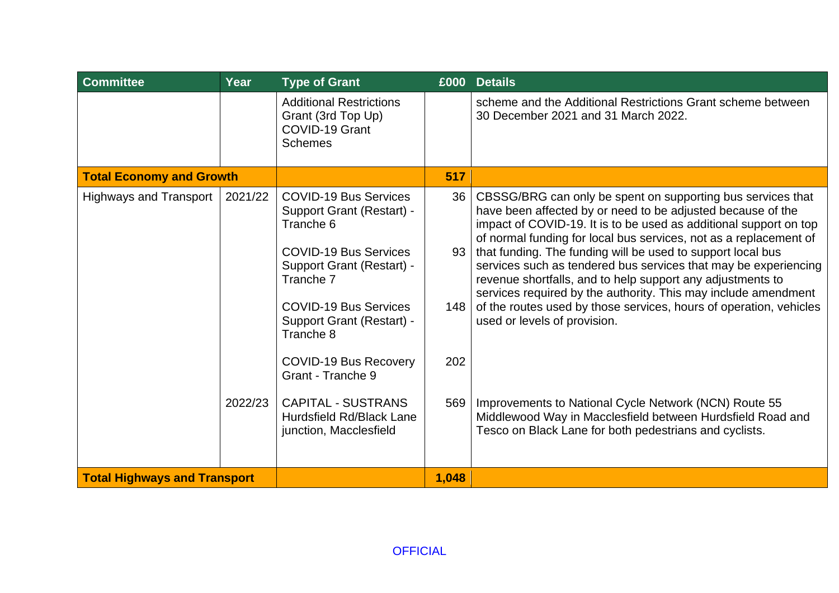| <b>Committee</b>                    | Year               | <b>Type of Grant</b>                                                                                                                                                                                                                                                                                                                                                             |                                            | £000 Details                                                                                                                                                                                                                                                                                                                                                                                                                                                                                                                                                                                                                                                                                                                                                                                                                  |
|-------------------------------------|--------------------|----------------------------------------------------------------------------------------------------------------------------------------------------------------------------------------------------------------------------------------------------------------------------------------------------------------------------------------------------------------------------------|--------------------------------------------|-------------------------------------------------------------------------------------------------------------------------------------------------------------------------------------------------------------------------------------------------------------------------------------------------------------------------------------------------------------------------------------------------------------------------------------------------------------------------------------------------------------------------------------------------------------------------------------------------------------------------------------------------------------------------------------------------------------------------------------------------------------------------------------------------------------------------------|
|                                     |                    | <b>Additional Restrictions</b><br>Grant (3rd Top Up)<br>COVID-19 Grant<br><b>Schemes</b>                                                                                                                                                                                                                                                                                         |                                            | scheme and the Additional Restrictions Grant scheme between<br>30 December 2021 and 31 March 2022.                                                                                                                                                                                                                                                                                                                                                                                                                                                                                                                                                                                                                                                                                                                            |
| <b>Total Economy and Growth</b>     |                    |                                                                                                                                                                                                                                                                                                                                                                                  | 517                                        |                                                                                                                                                                                                                                                                                                                                                                                                                                                                                                                                                                                                                                                                                                                                                                                                                               |
| <b>Highways and Transport</b>       | 2021/22<br>2022/23 | <b>COVID-19 Bus Services</b><br><b>Support Grant (Restart) -</b><br>Tranche 6<br><b>COVID-19 Bus Services</b><br><b>Support Grant (Restart) -</b><br>Tranche 7<br><b>COVID-19 Bus Services</b><br>Support Grant (Restart) -<br>Tranche 8<br>COVID-19 Bus Recovery<br>Grant - Tranche 9<br><b>CAPITAL - SUSTRANS</b><br><b>Hurdsfield Rd/Black Lane</b><br>junction, Macclesfield | 36 <sup>°</sup><br>93<br>148<br>202<br>569 | CBSSG/BRG can only be spent on supporting bus services that<br>have been affected by or need to be adjusted because of the<br>impact of COVID-19. It is to be used as additional support on top<br>of normal funding for local bus services, not as a replacement of<br>that funding. The funding will be used to support local bus<br>services such as tendered bus services that may be experiencing<br>revenue shortfalls, and to help support any adjustments to<br>services required by the authority. This may include amendment<br>of the routes used by those services, hours of operation, vehicles<br>used or levels of provision.<br>Improvements to National Cycle Network (NCN) Route 55<br>Middlewood Way in Macclesfield between Hurdsfield Road and<br>Tesco on Black Lane for both pedestrians and cyclists. |
| <b>Total Highways and Transport</b> |                    |                                                                                                                                                                                                                                                                                                                                                                                  | 1,048                                      |                                                                                                                                                                                                                                                                                                                                                                                                                                                                                                                                                                                                                                                                                                                                                                                                                               |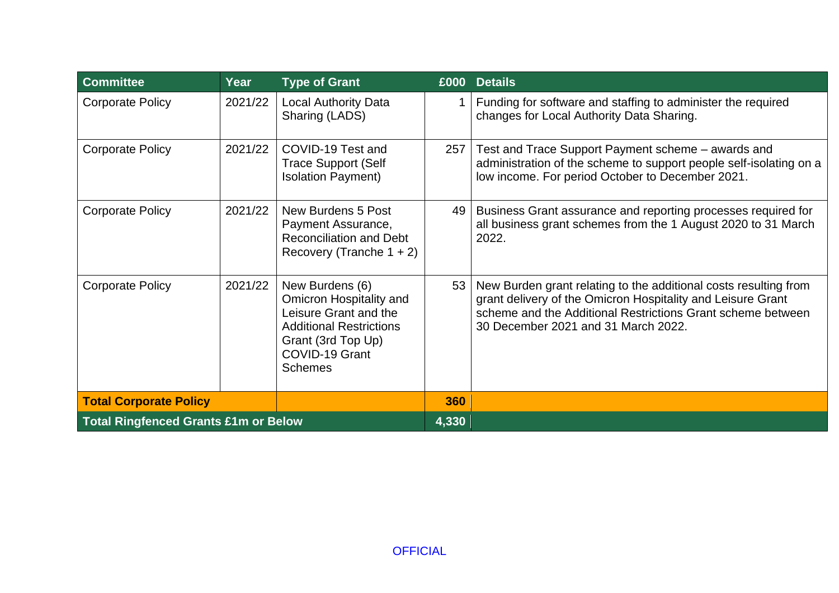| <b>Committee</b>                            | Year    | <b>Type of Grant</b>                                                                                                                                            |     | £000 Details                                                                                                                                                                                                                          |
|---------------------------------------------|---------|-----------------------------------------------------------------------------------------------------------------------------------------------------------------|-----|---------------------------------------------------------------------------------------------------------------------------------------------------------------------------------------------------------------------------------------|
| <b>Corporate Policy</b>                     | 2021/22 | <b>Local Authority Data</b><br>Sharing (LADS)                                                                                                                   |     | Funding for software and staffing to administer the required<br>changes for Local Authority Data Sharing.                                                                                                                             |
| <b>Corporate Policy</b>                     | 2021/22 | COVID-19 Test and<br><b>Trace Support (Self</b><br><b>Isolation Payment)</b>                                                                                    | 257 | Test and Trace Support Payment scheme – awards and<br>administration of the scheme to support people self-isolating on a<br>low income. For period October to December 2021.                                                          |
| <b>Corporate Policy</b>                     | 2021/22 | New Burdens 5 Post<br>Payment Assurance,<br><b>Reconciliation and Debt</b><br>Recovery (Tranche $1 + 2$ )                                                       | 49  | Business Grant assurance and reporting processes required for<br>all business grant schemes from the 1 August 2020 to 31 March<br>2022.                                                                                               |
| <b>Corporate Policy</b>                     | 2021/22 | New Burdens (6)<br>Omicron Hospitality and<br>Leisure Grant and the<br><b>Additional Restrictions</b><br>Grant (3rd Top Up)<br>COVID-19 Grant<br><b>Schemes</b> | 53  | New Burden grant relating to the additional costs resulting from<br>grant delivery of the Omicron Hospitality and Leisure Grant<br>scheme and the Additional Restrictions Grant scheme between<br>30 December 2021 and 31 March 2022. |
| <b>Total Corporate Policy</b>               |         |                                                                                                                                                                 | 360 |                                                                                                                                                                                                                                       |
| <b>Total Ringfenced Grants £1m or Below</b> |         | 4,330                                                                                                                                                           |     |                                                                                                                                                                                                                                       |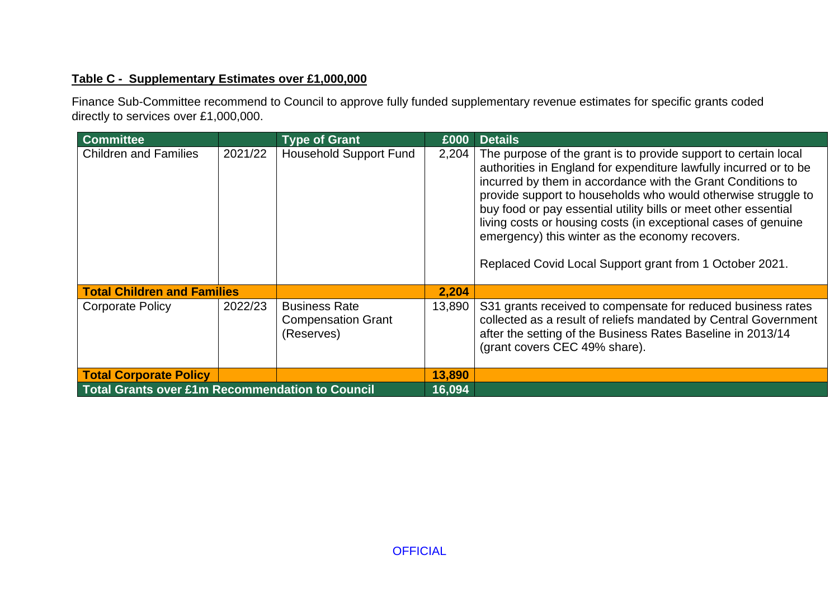# **Table C - Supplementary Estimates over £1,000,000**

Finance Sub-Committee recommend to Council to approve fully funded supplementary revenue estimates for specific grants coded directly to services over £1,000,000.

| <b>Committee</b>                                       |         | <b>Type of Grant</b>                                            | £000   | <b>Details</b>                                                                                                                                                                                                                                                                                                                                                                                                                                                                                                          |
|--------------------------------------------------------|---------|-----------------------------------------------------------------|--------|-------------------------------------------------------------------------------------------------------------------------------------------------------------------------------------------------------------------------------------------------------------------------------------------------------------------------------------------------------------------------------------------------------------------------------------------------------------------------------------------------------------------------|
| <b>Children and Families</b>                           | 2021/22 | <b>Household Support Fund</b>                                   | 2,204  | The purpose of the grant is to provide support to certain local<br>authorities in England for expenditure lawfully incurred or to be<br>incurred by them in accordance with the Grant Conditions to<br>provide support to households who would otherwise struggle to<br>buy food or pay essential utility bills or meet other essential<br>living costs or housing costs (in exceptional cases of genuine<br>emergency) this winter as the economy recovers.<br>Replaced Covid Local Support grant from 1 October 2021. |
| <b>Total Children and Families</b>                     |         |                                                                 | 2,204  |                                                                                                                                                                                                                                                                                                                                                                                                                                                                                                                         |
| <b>Corporate Policy</b>                                | 2022/23 | <b>Business Rate</b><br><b>Compensation Grant</b><br>(Reserves) | 13,890 | S31 grants received to compensate for reduced business rates<br>collected as a result of reliefs mandated by Central Government<br>after the setting of the Business Rates Baseline in 2013/14<br>(grant covers CEC 49% share).                                                                                                                                                                                                                                                                                         |
| <b>Total Corporate Policy</b>                          |         |                                                                 | 13,890 |                                                                                                                                                                                                                                                                                                                                                                                                                                                                                                                         |
| <b>Total Grants over £1m Recommendation to Council</b> |         | 16,094                                                          |        |                                                                                                                                                                                                                                                                                                                                                                                                                                                                                                                         |